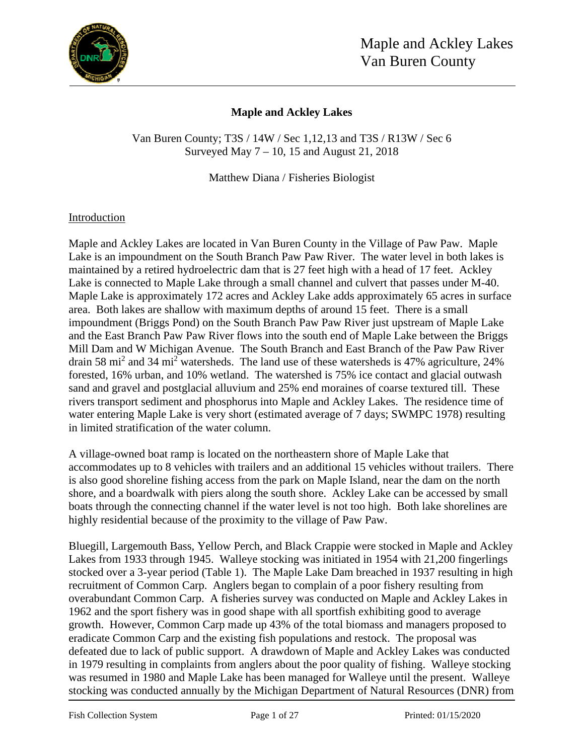

## **Maple and Ackley Lakes**

Van Buren County; T3S / 14W / Sec 1,12,13 and T3S / R13W / Sec 6 Surveyed May  $7 - 10$ , 15 and August 21, 2018

Matthew Diana / Fisheries Biologist

## Introduction

Maple and Ackley Lakes are located in Van Buren County in the Village of Paw Paw. Maple Lake is an impoundment on the South Branch Paw Paw River. The water level in both lakes is maintained by a retired hydroelectric dam that is 27 feet high with a head of 17 feet. Ackley Lake is connected to Maple Lake through a small channel and culvert that passes under M-40. Maple Lake is approximately 172 acres and Ackley Lake adds approximately 65 acres in surface area. Both lakes are shallow with maximum depths of around 15 feet. There is a small impoundment (Briggs Pond) on the South Branch Paw Paw River just upstream of Maple Lake and the East Branch Paw Paw River flows into the south end of Maple Lake between the Briggs Mill Dam and W Michigan Avenue. The South Branch and East Branch of the Paw Paw River drain 58 mi<sup>2</sup> and 34 mi<sup>2</sup> watersheds. The land use of these watersheds is 47% agriculture, 24% forested, 16% urban, and 10% wetland. The watershed is 75% ice contact and glacial outwash sand and gravel and postglacial alluvium and 25% end moraines of coarse textured till. These rivers transport sediment and phosphorus into Maple and Ackley Lakes. The residence time of water entering Maple Lake is very short (estimated average of 7 days; SWMPC 1978) resulting in limited stratification of the water column.

A village-owned boat ramp is located on the northeastern shore of Maple Lake that accommodates up to 8 vehicles with trailers and an additional 15 vehicles without trailers. There is also good shoreline fishing access from the park on Maple Island, near the dam on the north shore, and a boardwalk with piers along the south shore. Ackley Lake can be accessed by small boats through the connecting channel if the water level is not too high. Both lake shorelines are highly residential because of the proximity to the village of Paw Paw.

Bluegill, Largemouth Bass, Yellow Perch, and Black Crappie were stocked in Maple and Ackley Lakes from 1933 through 1945. Walleye stocking was initiated in 1954 with 21,200 fingerlings stocked over a 3-year period (Table 1). The Maple Lake Dam breached in 1937 resulting in high recruitment of Common Carp. Anglers began to complain of a poor fishery resulting from overabundant Common Carp. A fisheries survey was conducted on Maple and Ackley Lakes in 1962 and the sport fishery was in good shape with all sportfish exhibiting good to average growth. However, Common Carp made up 43% of the total biomass and managers proposed to eradicate Common Carp and the existing fish populations and restock. The proposal was defeated due to lack of public support. A drawdown of Maple and Ackley Lakes was conducted in 1979 resulting in complaints from anglers about the poor quality of fishing. Walleye stocking was resumed in 1980 and Maple Lake has been managed for Walleye until the present. Walleye stocking was conducted annually by the Michigan Department of Natural Resources (DNR) from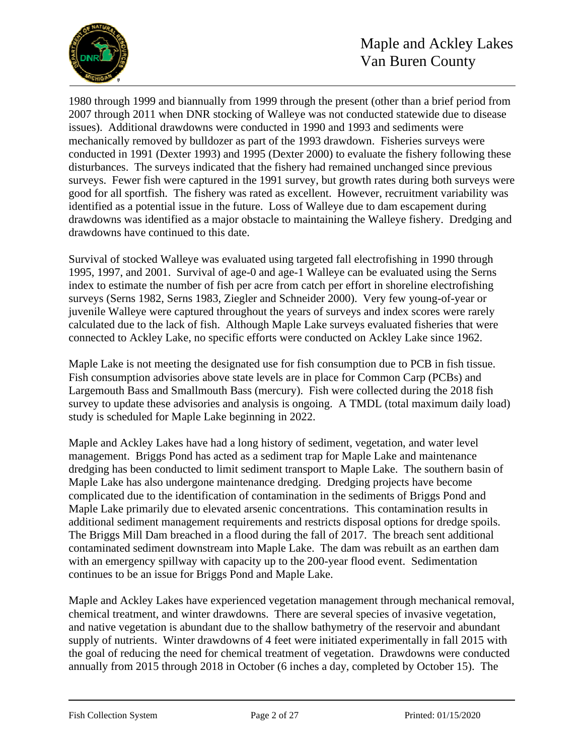

1980 through 1999 and biannually from 1999 through the present (other than a brief period from 2007 through 2011 when DNR stocking of Walleye was not conducted statewide due to disease issues). Additional drawdowns were conducted in 1990 and 1993 and sediments were mechanically removed by bulldozer as part of the 1993 drawdown. Fisheries surveys were conducted in 1991 (Dexter 1993) and 1995 (Dexter 2000) to evaluate the fishery following these disturbances. The surveys indicated that the fishery had remained unchanged since previous surveys. Fewer fish were captured in the 1991 survey, but growth rates during both surveys were good for all sportfish. The fishery was rated as excellent. However, recruitment variability was identified as a potential issue in the future. Loss of Walleye due to dam escapement during drawdowns was identified as a major obstacle to maintaining the Walleye fishery. Dredging and drawdowns have continued to this date.

Survival of stocked Walleye was evaluated using targeted fall electrofishing in 1990 through 1995, 1997, and 2001. Survival of age-0 and age-1 Walleye can be evaluated using the Serns index to estimate the number of fish per acre from catch per effort in shoreline electrofishing surveys (Serns 1982, Serns 1983, Ziegler and Schneider 2000). Very few young-of-year or juvenile Walleye were captured throughout the years of surveys and index scores were rarely calculated due to the lack of fish. Although Maple Lake surveys evaluated fisheries that were connected to Ackley Lake, no specific efforts were conducted on Ackley Lake since 1962.

Maple Lake is not meeting the designated use for fish consumption due to PCB in fish tissue. Fish consumption advisories above state levels are in place for Common Carp (PCBs) and Largemouth Bass and Smallmouth Bass (mercury). Fish were collected during the 2018 fish survey to update these advisories and analysis is ongoing. A TMDL (total maximum daily load) study is scheduled for Maple Lake beginning in 2022.

Maple and Ackley Lakes have had a long history of sediment, vegetation, and water level management. Briggs Pond has acted as a sediment trap for Maple Lake and maintenance dredging has been conducted to limit sediment transport to Maple Lake. The southern basin of Maple Lake has also undergone maintenance dredging. Dredging projects have become complicated due to the identification of contamination in the sediments of Briggs Pond and Maple Lake primarily due to elevated arsenic concentrations. This contamination results in additional sediment management requirements and restricts disposal options for dredge spoils. The Briggs Mill Dam breached in a flood during the fall of 2017. The breach sent additional contaminated sediment downstream into Maple Lake. The dam was rebuilt as an earthen dam with an emergency spillway with capacity up to the 200-year flood event. Sedimentation continues to be an issue for Briggs Pond and Maple Lake.

Maple and Ackley Lakes have experienced vegetation management through mechanical removal, chemical treatment, and winter drawdowns. There are several species of invasive vegetation, and native vegetation is abundant due to the shallow bathymetry of the reservoir and abundant supply of nutrients. Winter drawdowns of 4 feet were initiated experimentally in fall 2015 with the goal of reducing the need for chemical treatment of vegetation. Drawdowns were conducted annually from 2015 through 2018 in October (6 inches a day, completed by October 15). The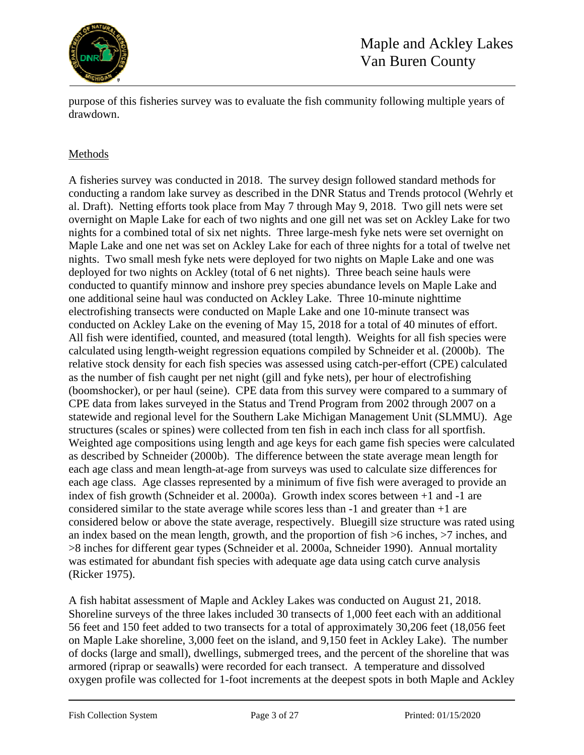

purpose of this fisheries survey was to evaluate the fish community following multiple years of drawdown.

## Methods

A fisheries survey was conducted in 2018. The survey design followed standard methods for conducting a random lake survey as described in the DNR Status and Trends protocol (Wehrly et al. Draft). Netting efforts took place from May 7 through May 9, 2018. Two gill nets were set overnight on Maple Lake for each of two nights and one gill net was set on Ackley Lake for two nights for a combined total of six net nights. Three large-mesh fyke nets were set overnight on Maple Lake and one net was set on Ackley Lake for each of three nights for a total of twelve net nights. Two small mesh fyke nets were deployed for two nights on Maple Lake and one was deployed for two nights on Ackley (total of 6 net nights). Three beach seine hauls were conducted to quantify minnow and inshore prey species abundance levels on Maple Lake and one additional seine haul was conducted on Ackley Lake. Three 10-minute nighttime electrofishing transects were conducted on Maple Lake and one 10-minute transect was conducted on Ackley Lake on the evening of May 15, 2018 for a total of 40 minutes of effort. All fish were identified, counted, and measured (total length). Weights for all fish species were calculated using length-weight regression equations compiled by Schneider et al. (2000b). The relative stock density for each fish species was assessed using catch-per-effort (CPE) calculated as the number of fish caught per net night (gill and fyke nets), per hour of electrofishing (boomshocker), or per haul (seine). CPE data from this survey were compared to a summary of CPE data from lakes surveyed in the Status and Trend Program from 2002 through 2007 on a statewide and regional level for the Southern Lake Michigan Management Unit (SLMMU). Age structures (scales or spines) were collected from ten fish in each inch class for all sportfish. Weighted age compositions using length and age keys for each game fish species were calculated as described by Schneider (2000b). The difference between the state average mean length for each age class and mean length-at-age from surveys was used to calculate size differences for each age class. Age classes represented by a minimum of five fish were averaged to provide an index of fish growth (Schneider et al. 2000a). Growth index scores between +1 and -1 are considered similar to the state average while scores less than -1 and greater than +1 are considered below or above the state average, respectively. Bluegill size structure was rated using an index based on the mean length, growth, and the proportion of fish >6 inches, >7 inches, and >8 inches for different gear types (Schneider et al. 2000a, Schneider 1990). Annual mortality was estimated for abundant fish species with adequate age data using catch curve analysis (Ricker 1975).

A fish habitat assessment of Maple and Ackley Lakes was conducted on August 21, 2018. Shoreline surveys of the three lakes included 30 transects of 1,000 feet each with an additional 56 feet and 150 feet added to two transects for a total of approximately 30,206 feet (18,056 feet on Maple Lake shoreline, 3,000 feet on the island, and 9,150 feet in Ackley Lake). The number of docks (large and small), dwellings, submerged trees, and the percent of the shoreline that was armored (riprap or seawalls) were recorded for each transect. A temperature and dissolved oxygen profile was collected for 1-foot increments at the deepest spots in both Maple and Ackley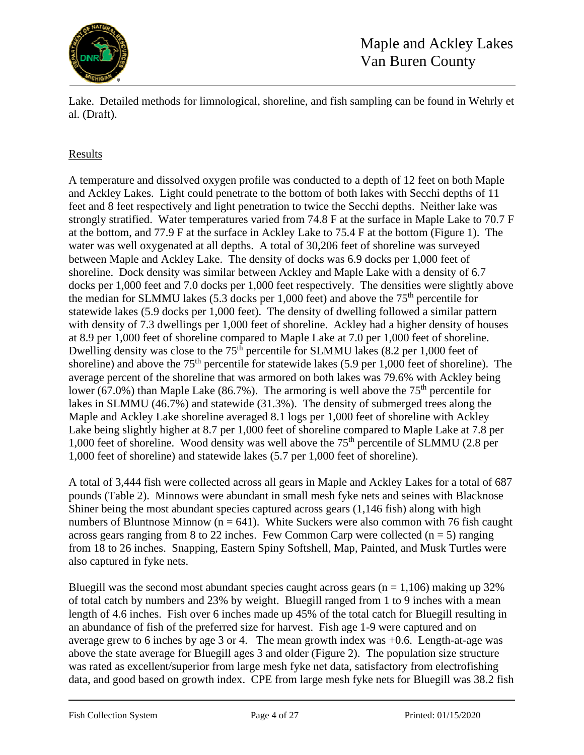

Lake. Detailed methods for limnological, shoreline, and fish sampling can be found in Wehrly et al. (Draft).

## Results

A temperature and dissolved oxygen profile was conducted to a depth of 12 feet on both Maple and Ackley Lakes. Light could penetrate to the bottom of both lakes with Secchi depths of 11 feet and 8 feet respectively and light penetration to twice the Secchi depths. Neither lake was strongly stratified. Water temperatures varied from 74.8 F at the surface in Maple Lake to 70.7 F at the bottom, and 77.9 F at the surface in Ackley Lake to 75.4 F at the bottom (Figure 1). The water was well oxygenated at all depths. A total of 30,206 feet of shoreline was surveyed between Maple and Ackley Lake. The density of docks was 6.9 docks per 1,000 feet of shoreline. Dock density was similar between Ackley and Maple Lake with a density of 6.7 docks per 1,000 feet and 7.0 docks per 1,000 feet respectively. The densities were slightly above the median for SLMMU lakes (5.3 docks per 1,000 feet) and above the  $75<sup>th</sup>$  percentile for statewide lakes (5.9 docks per 1,000 feet). The density of dwelling followed a similar pattern with density of 7.3 dwellings per 1,000 feet of shoreline. Ackley had a higher density of houses at 8.9 per 1,000 feet of shoreline compared to Maple Lake at 7.0 per 1,000 feet of shoreline. Dwelling density was close to the  $75<sup>th</sup>$  percentile for SLMMU lakes (8.2 per 1,000 feet of shoreline) and above the  $75<sup>th</sup>$  percentile for statewide lakes (5.9 per 1,000 feet of shoreline). The average percent of the shoreline that was armored on both lakes was 79.6% with Ackley being lower (67.0%) than Maple Lake (86.7%). The armoring is well above the  $75<sup>th</sup>$  percentile for lakes in SLMMU (46.7%) and statewide (31.3%). The density of submerged trees along the Maple and Ackley Lake shoreline averaged 8.1 logs per 1,000 feet of shoreline with Ackley Lake being slightly higher at 8.7 per 1,000 feet of shoreline compared to Maple Lake at 7.8 per 1,000 feet of shoreline. Wood density was well above the 75<sup>th</sup> percentile of SLMMU (2.8 per 1,000 feet of shoreline) and statewide lakes (5.7 per 1,000 feet of shoreline).

A total of 3,444 fish were collected across all gears in Maple and Ackley Lakes for a total of 687 pounds (Table 2). Minnows were abundant in small mesh fyke nets and seines with Blacknose Shiner being the most abundant species captured across gears (1,146 fish) along with high numbers of Bluntnose Minnow ( $n = 641$ ). White Suckers were also common with 76 fish caught across gears ranging from 8 to 22 inches. Few Common Carp were collected  $(n = 5)$  ranging from 18 to 26 inches. Snapping, Eastern Spiny Softshell, Map, Painted, and Musk Turtles were also captured in fyke nets.

Bluegill was the second most abundant species caught across gears ( $n = 1,106$ ) making up 32% of total catch by numbers and 23% by weight. Bluegill ranged from 1 to 9 inches with a mean length of 4.6 inches. Fish over 6 inches made up 45% of the total catch for Bluegill resulting in an abundance of fish of the preferred size for harvest. Fish age 1-9 were captured and on average grew to 6 inches by age 3 or 4. The mean growth index was +0.6. Length-at-age was above the state average for Bluegill ages 3 and older (Figure 2). The population size structure was rated as excellent/superior from large mesh fyke net data, satisfactory from electrofishing data, and good based on growth index. CPE from large mesh fyke nets for Bluegill was 38.2 fish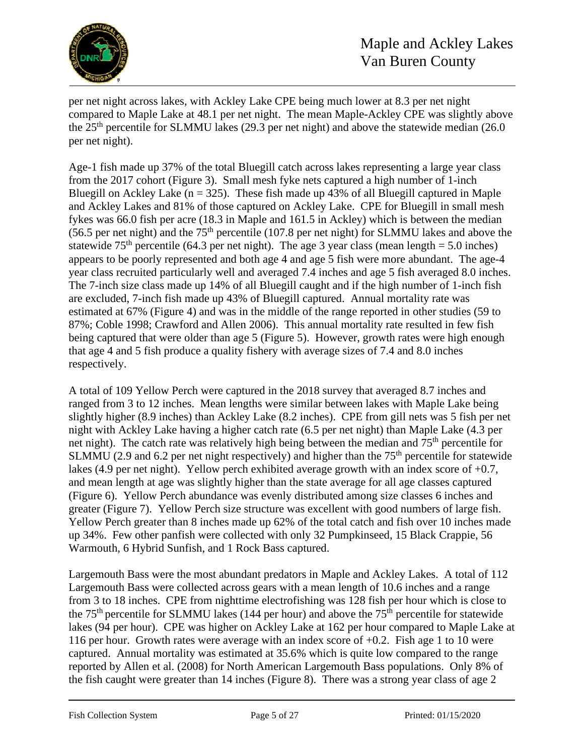

per net night across lakes, with Ackley Lake CPE being much lower at 8.3 per net night compared to Maple Lake at 48.1 per net night. The mean Maple-Ackley CPE was slightly above the  $25<sup>th</sup>$  percentile for SLMMU lakes (29.3 per net night) and above the statewide median (26.0) per net night).

Age-1 fish made up 37% of the total Bluegill catch across lakes representing a large year class from the 2017 cohort (Figure 3). Small mesh fyke nets captured a high number of 1-inch Bluegill on Ackley Lake ( $n = 325$ ). These fish made up 43% of all Bluegill captured in Maple and Ackley Lakes and 81% of those captured on Ackley Lake. CPE for Bluegill in small mesh fykes was 66.0 fish per acre (18.3 in Maple and 161.5 in Ackley) which is between the median (56.5 per net night) and the  $75<sup>th</sup>$  percentile (107.8 per net night) for SLMMU lakes and above the statewide 75<sup>th</sup> percentile (64.3 per net night). The age 3 year class (mean length = 5.0 inches) appears to be poorly represented and both age 4 and age 5 fish were more abundant. The age-4 year class recruited particularly well and averaged 7.4 inches and age 5 fish averaged 8.0 inches. The 7-inch size class made up 14% of all Bluegill caught and if the high number of 1-inch fish are excluded, 7-inch fish made up 43% of Bluegill captured. Annual mortality rate was estimated at 67% (Figure 4) and was in the middle of the range reported in other studies (59 to 87%; Coble 1998; Crawford and Allen 2006). This annual mortality rate resulted in few fish being captured that were older than age 5 (Figure 5). However, growth rates were high enough that age 4 and 5 fish produce a quality fishery with average sizes of 7.4 and 8.0 inches respectively.

A total of 109 Yellow Perch were captured in the 2018 survey that averaged 8.7 inches and ranged from 3 to 12 inches. Mean lengths were similar between lakes with Maple Lake being slightly higher (8.9 inches) than Ackley Lake (8.2 inches). CPE from gill nets was 5 fish per net night with Ackley Lake having a higher catch rate (6.5 per net night) than Maple Lake (4.3 per net night). The catch rate was relatively high being between the median and  $75<sup>th</sup>$  percentile for SLMMU (2.9 and 6.2 per net night respectively) and higher than the  $75<sup>th</sup>$  percentile for statewide lakes (4.9 per net night). Yellow perch exhibited average growth with an index score of +0.7, and mean length at age was slightly higher than the state average for all age classes captured (Figure 6). Yellow Perch abundance was evenly distributed among size classes 6 inches and greater (Figure 7). Yellow Perch size structure was excellent with good numbers of large fish. Yellow Perch greater than 8 inches made up 62% of the total catch and fish over 10 inches made up 34%. Few other panfish were collected with only 32 Pumpkinseed, 15 Black Crappie, 56 Warmouth, 6 Hybrid Sunfish, and 1 Rock Bass captured.

Largemouth Bass were the most abundant predators in Maple and Ackley Lakes. A total of 112 Largemouth Bass were collected across gears with a mean length of 10.6 inches and a range from 3 to 18 inches. CPE from nighttime electrofishing was 128 fish per hour which is close to the  $75<sup>th</sup>$  percentile for SLMMU lakes (144 per hour) and above the  $75<sup>th</sup>$  percentile for statewide lakes (94 per hour). CPE was higher on Ackley Lake at 162 per hour compared to Maple Lake at 116 per hour. Growth rates were average with an index score of +0.2. Fish age 1 to 10 were captured. Annual mortality was estimated at 35.6% which is quite low compared to the range reported by Allen et al. (2008) for North American Largemouth Bass populations. Only 8% of the fish caught were greater than 14 inches (Figure 8). There was a strong year class of age 2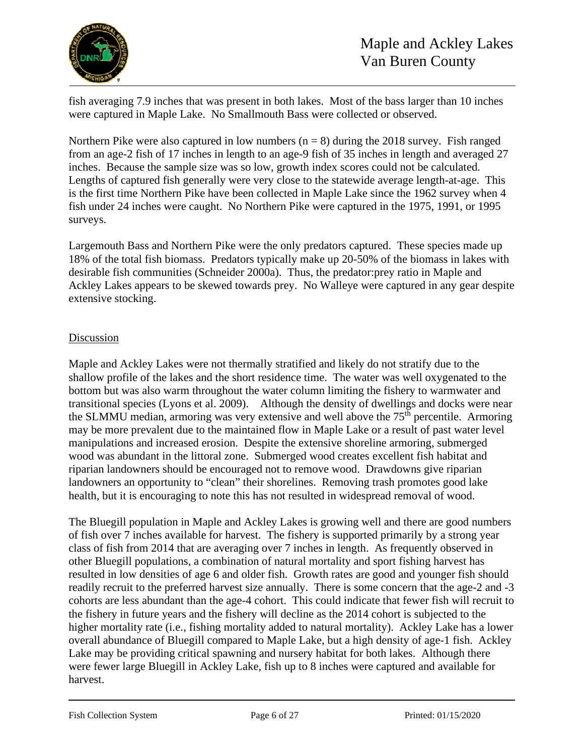

fish averaging 7.9 inches that was present in both lakes. Most of the bass larger than 10 inches were captured in Maple Lake. No Smallmouth Bass were collected or observed.

Northern Pike were also captured in low numbers  $(n = 8)$  during the 2018 survey. Fish ranged from an age-2 fish of 17 inches in length to an age-9 fish of 35 inches in length and averaged 27 inches. Because the sample size was so low, growth index scores could not be calculated. Lengths of captured fish generally were very close to the statewide average length-at-age. This is the first time Northern Pike have been collected in Maple Lake since the 1962 survey when 4 fish under 24 inches were caught. No Northern Pike were captured in the 1975, 1991, or 1995 surveys.

Largemouth Bass and Northern Pike were the only predators captured. These species made up 18% of the total fish biomass. Predators typically make up 20-50% of the biomass in lakes with desirable fish communities (Schneider 2000a). Thus, the predator:prey ratio in Maple and Ackley Lakes appears to be skewed towards prey. No Walleye were captured in any gear despite extensive stocking.

#### Discussion

Maple and Ackley Lakes were not thermally stratified and likely do not stratify due to the shallow profile of the lakes and the short residence time. The water was well oxygenated to the bottom but was also warm throughout the water column limiting the fishery to warmwater and transitional species (Lyons et al. 2009). Although the density of dwellings and docks were near the SLMMU median, armoring was very extensive and well above the 75<sup>th</sup> percentile. Armoring may be more prevalent due to the maintained flow in Maple Lake or a result of past water level manipulations and increased erosion. Despite the extensive shoreline armoring, submerged wood was abundant in the littoral zone. Submerged wood creates excellent fish habitat and riparian landowners should be encouraged not to remove wood. Drawdowns give riparian landowners an opportunity to "clean" their shorelines. Removing trash promotes good lake health, but it is encouraging to note this has not resulted in widespread removal of wood.

The Bluegill population in Maple and Ackley Lakes is growing well and there are good numbers of fish over 7 inches available for harvest. The fishery is supported primarily by a strong year class of fish from 2014 that are averaging over 7 inches in length. As frequently observed in other Bluegill populations, a combination of natural mortality and sport fishing harvest has resulted in low densities of age 6 and older fish. Growth rates are good and younger fish should readily recruit to the preferred harvest size annually. There is some concern that the age-2 and -3 cohorts are less abundant than the age-4 cohort. This could indicate that fewer fish will recruit to the fishery in future years and the fishery will decline as the 2014 cohort is subjected to the higher mortality rate (i.e., fishing mortality added to natural mortality). Ackley Lake has a lower overall abundance of Bluegill compared to Maple Lake, but a high density of age-1 fish. Ackley Lake may be providing critical spawning and nursery habitat for both lakes. Although there were fewer large Bluegill in Ackley Lake, fish up to 8 inches were captured and available for harvest.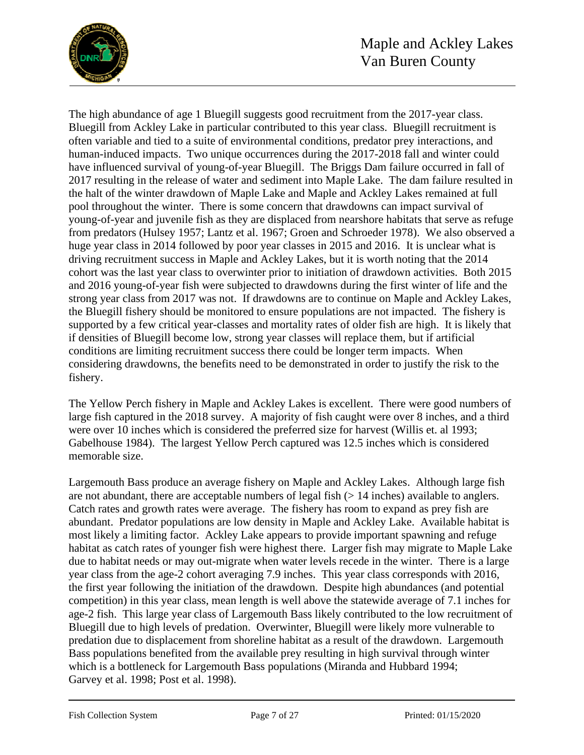

The high abundance of age 1 Bluegill suggests good recruitment from the 2017-year class. Bluegill from Ackley Lake in particular contributed to this year class. Bluegill recruitment is often variable and tied to a suite of environmental conditions, predator prey interactions, and human-induced impacts. Two unique occurrences during the 2017-2018 fall and winter could have influenced survival of young-of-year Bluegill. The Briggs Dam failure occurred in fall of 2017 resulting in the release of water and sediment into Maple Lake. The dam failure resulted in the halt of the winter drawdown of Maple Lake and Maple and Ackley Lakes remained at full pool throughout the winter. There is some concern that drawdowns can impact survival of young-of-year and juvenile fish as they are displaced from nearshore habitats that serve as refuge from predators (Hulsey 1957; Lantz et al. 1967; Groen and Schroeder 1978). We also observed a huge year class in 2014 followed by poor year classes in 2015 and 2016. It is unclear what is driving recruitment success in Maple and Ackley Lakes, but it is worth noting that the 2014 cohort was the last year class to overwinter prior to initiation of drawdown activities. Both 2015 and 2016 young-of-year fish were subjected to drawdowns during the first winter of life and the strong year class from 2017 was not. If drawdowns are to continue on Maple and Ackley Lakes, the Bluegill fishery should be monitored to ensure populations are not impacted. The fishery is supported by a few critical year-classes and mortality rates of older fish are high. It is likely that if densities of Bluegill become low, strong year classes will replace them, but if artificial conditions are limiting recruitment success there could be longer term impacts. When considering drawdowns, the benefits need to be demonstrated in order to justify the risk to the fishery.

The Yellow Perch fishery in Maple and Ackley Lakes is excellent. There were good numbers of large fish captured in the 2018 survey. A majority of fish caught were over 8 inches, and a third were over 10 inches which is considered the preferred size for harvest (Willis et. al 1993; Gabelhouse 1984). The largest Yellow Perch captured was 12.5 inches which is considered memorable size.

Largemouth Bass produce an average fishery on Maple and Ackley Lakes. Although large fish are not abundant, there are acceptable numbers of legal fish  $(> 14$  inches) available to anglers. Catch rates and growth rates were average. The fishery has room to expand as prey fish are abundant. Predator populations are low density in Maple and Ackley Lake. Available habitat is most likely a limiting factor. Ackley Lake appears to provide important spawning and refuge habitat as catch rates of younger fish were highest there. Larger fish may migrate to Maple Lake due to habitat needs or may out-migrate when water levels recede in the winter. There is a large year class from the age-2 cohort averaging 7.9 inches. This year class corresponds with 2016, the first year following the initiation of the drawdown. Despite high abundances (and potential competition) in this year class, mean length is well above the statewide average of 7.1 inches for age-2 fish. This large year class of Largemouth Bass likely contributed to the low recruitment of Bluegill due to high levels of predation. Overwinter, Bluegill were likely more vulnerable to predation due to displacement from shoreline habitat as a result of the drawdown. Largemouth Bass populations benefited from the available prey resulting in high survival through winter which is a bottleneck for Largemouth Bass populations (Miranda and Hubbard 1994; Garvey et al. 1998; Post et al. 1998).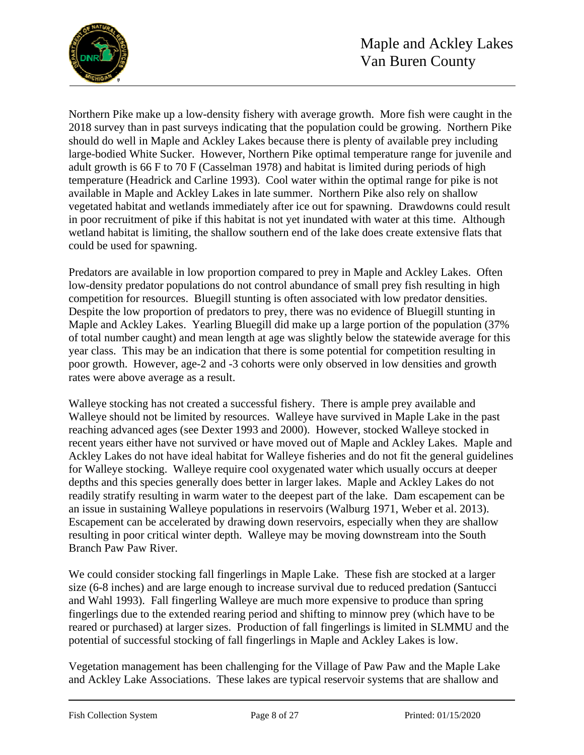

Northern Pike make up a low-density fishery with average growth. More fish were caught in the 2018 survey than in past surveys indicating that the population could be growing. Northern Pike should do well in Maple and Ackley Lakes because there is plenty of available prey including large-bodied White Sucker. However, Northern Pike optimal temperature range for juvenile and adult growth is 66 F to 70 F (Casselman 1978) and habitat is limited during periods of high temperature (Headrick and Carline 1993). Cool water within the optimal range for pike is not available in Maple and Ackley Lakes in late summer. Northern Pike also rely on shallow vegetated habitat and wetlands immediately after ice out for spawning. Drawdowns could result in poor recruitment of pike if this habitat is not yet inundated with water at this time. Although wetland habitat is limiting, the shallow southern end of the lake does create extensive flats that could be used for spawning.

Predators are available in low proportion compared to prey in Maple and Ackley Lakes. Often low-density predator populations do not control abundance of small prey fish resulting in high competition for resources. Bluegill stunting is often associated with low predator densities. Despite the low proportion of predators to prey, there was no evidence of Bluegill stunting in Maple and Ackley Lakes. Yearling Bluegill did make up a large portion of the population (37% of total number caught) and mean length at age was slightly below the statewide average for this year class. This may be an indication that there is some potential for competition resulting in poor growth. However, age-2 and -3 cohorts were only observed in low densities and growth rates were above average as a result.

Walleye stocking has not created a successful fishery. There is ample prey available and Walleye should not be limited by resources. Walleye have survived in Maple Lake in the past reaching advanced ages (see Dexter 1993 and 2000). However, stocked Walleye stocked in recent years either have not survived or have moved out of Maple and Ackley Lakes. Maple and Ackley Lakes do not have ideal habitat for Walleye fisheries and do not fit the general guidelines for Walleye stocking. Walleye require cool oxygenated water which usually occurs at deeper depths and this species generally does better in larger lakes. Maple and Ackley Lakes do not readily stratify resulting in warm water to the deepest part of the lake. Dam escapement can be an issue in sustaining Walleye populations in reservoirs (Walburg 1971, Weber et al. 2013). Escapement can be accelerated by drawing down reservoirs, especially when they are shallow resulting in poor critical winter depth. Walleye may be moving downstream into the South Branch Paw Paw River.

We could consider stocking fall fingerlings in Maple Lake. These fish are stocked at a larger size (6-8 inches) and are large enough to increase survival due to reduced predation (Santucci and Wahl 1993). Fall fingerling Walleye are much more expensive to produce than spring fingerlings due to the extended rearing period and shifting to minnow prey (which have to be reared or purchased) at larger sizes. Production of fall fingerlings is limited in SLMMU and the potential of successful stocking of fall fingerlings in Maple and Ackley Lakes is low.

Vegetation management has been challenging for the Village of Paw Paw and the Maple Lake and Ackley Lake Associations. These lakes are typical reservoir systems that are shallow and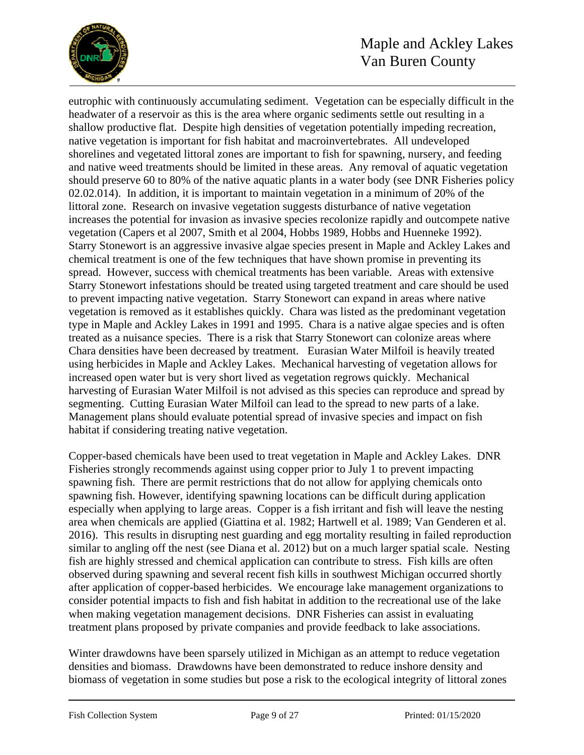

# Maple and Ackley Lakes Van Buren County

eutrophic with continuously accumulating sediment. Vegetation can be especially difficult in the headwater of a reservoir as this is the area where organic sediments settle out resulting in a shallow productive flat. Despite high densities of vegetation potentially impeding recreation, native vegetation is important for fish habitat and macroinvertebrates. All undeveloped shorelines and vegetated littoral zones are important to fish for spawning, nursery, and feeding and native weed treatments should be limited in these areas. Any removal of aquatic vegetation should preserve 60 to 80% of the native aquatic plants in a water body (see DNR Fisheries policy 02.02.014). In addition, it is important to maintain vegetation in a minimum of 20% of the littoral zone. Research on invasive vegetation suggests disturbance of native vegetation increases the potential for invasion as invasive species recolonize rapidly and outcompete native vegetation (Capers et al 2007, Smith et al 2004, Hobbs 1989, Hobbs and Huenneke 1992). Starry Stonewort is an aggressive invasive algae species present in Maple and Ackley Lakes and chemical treatment is one of the few techniques that have shown promise in preventing its spread. However, success with chemical treatments has been variable. Areas with extensive Starry Stonewort infestations should be treated using targeted treatment and care should be used to prevent impacting native vegetation. Starry Stonewort can expand in areas where native vegetation is removed as it establishes quickly. Chara was listed as the predominant vegetation type in Maple and Ackley Lakes in 1991 and 1995. Chara is a native algae species and is often treated as a nuisance species. There is a risk that Starry Stonewort can colonize areas where Chara densities have been decreased by treatment. Eurasian Water Milfoil is heavily treated using herbicides in Maple and Ackley Lakes. Mechanical harvesting of vegetation allows for increased open water but is very short lived as vegetation regrows quickly. Mechanical harvesting of Eurasian Water Milfoil is not advised as this species can reproduce and spread by segmenting. Cutting Eurasian Water Milfoil can lead to the spread to new parts of a lake. Management plans should evaluate potential spread of invasive species and impact on fish habitat if considering treating native vegetation.

Copper-based chemicals have been used to treat vegetation in Maple and Ackley Lakes. DNR Fisheries strongly recommends against using copper prior to July 1 to prevent impacting spawning fish. There are permit restrictions that do not allow for applying chemicals onto spawning fish. However, identifying spawning locations can be difficult during application especially when applying to large areas. Copper is a fish irritant and fish will leave the nesting area when chemicals are applied (Giattina et al. 1982; Hartwell et al. 1989; Van Genderen et al. 2016). This results in disrupting nest guarding and egg mortality resulting in failed reproduction similar to angling off the nest (see Diana et al. 2012) but on a much larger spatial scale. Nesting fish are highly stressed and chemical application can contribute to stress. Fish kills are often observed during spawning and several recent fish kills in southwest Michigan occurred shortly after application of copper-based herbicides. We encourage lake management organizations to consider potential impacts to fish and fish habitat in addition to the recreational use of the lake when making vegetation management decisions. DNR Fisheries can assist in evaluating treatment plans proposed by private companies and provide feedback to lake associations.

Winter drawdowns have been sparsely utilized in Michigan as an attempt to reduce vegetation densities and biomass. Drawdowns have been demonstrated to reduce inshore density and biomass of vegetation in some studies but pose a risk to the ecological integrity of littoral zones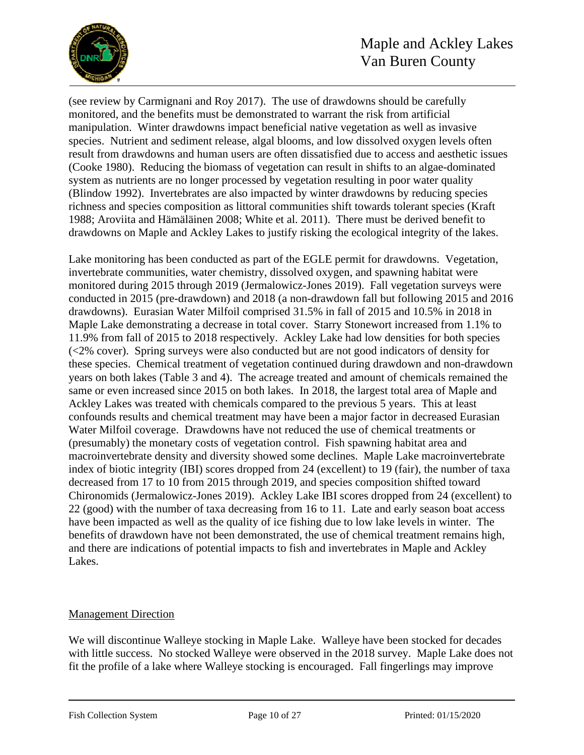

(see review by Carmignani and Roy 2017). The use of drawdowns should be carefully monitored, and the benefits must be demonstrated to warrant the risk from artificial manipulation. Winter drawdowns impact beneficial native vegetation as well as invasive species. Nutrient and sediment release, algal blooms, and low dissolved oxygen levels often result from drawdowns and human users are often dissatisfied due to access and aesthetic issues (Cooke 1980). Reducing the biomass of vegetation can result in shifts to an algae-dominated system as nutrients are no longer processed by vegetation resulting in poor water quality (Blindow 1992). Invertebrates are also impacted by winter drawdowns by reducing species richness and species composition as littoral communities shift towards tolerant species (Kraft 1988; Aroviita and Hämäläinen 2008; White et al. 2011). There must be derived benefit to drawdowns on Maple and Ackley Lakes to justify risking the ecological integrity of the lakes.

Lake monitoring has been conducted as part of the EGLE permit for drawdowns. Vegetation, invertebrate communities, water chemistry, dissolved oxygen, and spawning habitat were monitored during 2015 through 2019 (Jermalowicz-Jones 2019). Fall vegetation surveys were conducted in 2015 (pre-drawdown) and 2018 (a non-drawdown fall but following 2015 and 2016 drawdowns). Eurasian Water Milfoil comprised 31.5% in fall of 2015 and 10.5% in 2018 in Maple Lake demonstrating a decrease in total cover. Starry Stonewort increased from 1.1% to 11.9% from fall of 2015 to 2018 respectively. Ackley Lake had low densities for both species (<2% cover). Spring surveys were also conducted but are not good indicators of density for these species. Chemical treatment of vegetation continued during drawdown and non-drawdown years on both lakes (Table 3 and 4). The acreage treated and amount of chemicals remained the same or even increased since 2015 on both lakes. In 2018, the largest total area of Maple and Ackley Lakes was treated with chemicals compared to the previous 5 years. This at least confounds results and chemical treatment may have been a major factor in decreased Eurasian Water Milfoil coverage. Drawdowns have not reduced the use of chemical treatments or (presumably) the monetary costs of vegetation control. Fish spawning habitat area and macroinvertebrate density and diversity showed some declines. Maple Lake macroinvertebrate index of biotic integrity (IBI) scores dropped from 24 (excellent) to 19 (fair), the number of taxa decreased from 17 to 10 from 2015 through 2019, and species composition shifted toward Chironomids (Jermalowicz-Jones 2019). Ackley Lake IBI scores dropped from 24 (excellent) to 22 (good) with the number of taxa decreasing from 16 to 11. Late and early season boat access have been impacted as well as the quality of ice fishing due to low lake levels in winter. The benefits of drawdown have not been demonstrated, the use of chemical treatment remains high, and there are indications of potential impacts to fish and invertebrates in Maple and Ackley Lakes.

#### Management Direction

We will discontinue Walleye stocking in Maple Lake. Walleye have been stocked for decades with little success. No stocked Walleye were observed in the 2018 survey. Maple Lake does not fit the profile of a lake where Walleye stocking is encouraged. Fall fingerlings may improve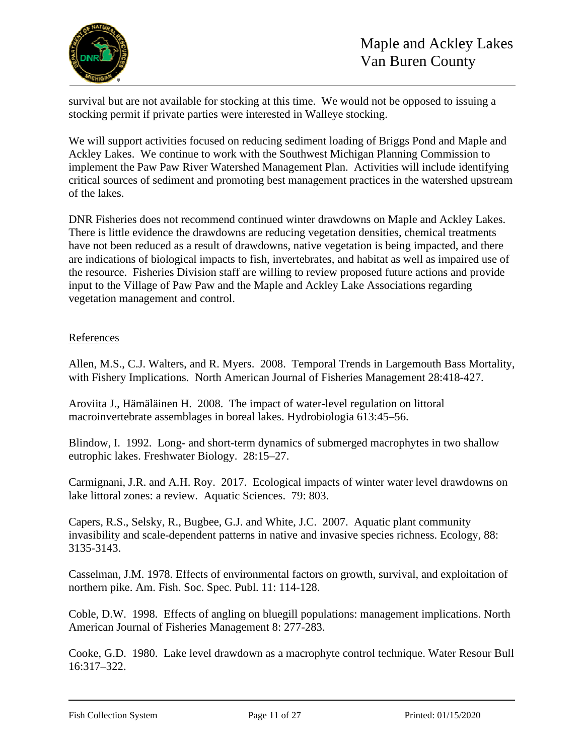

survival but are not available for stocking at this time. We would not be opposed to issuing a stocking permit if private parties were interested in Walleye stocking.

We will support activities focused on reducing sediment loading of Briggs Pond and Maple and Ackley Lakes. We continue to work with the Southwest Michigan Planning Commission to implement the Paw Paw River Watershed Management Plan. Activities will include identifying critical sources of sediment and promoting best management practices in the watershed upstream of the lakes.

DNR Fisheries does not recommend continued winter drawdowns on Maple and Ackley Lakes. There is little evidence the drawdowns are reducing vegetation densities, chemical treatments have not been reduced as a result of drawdowns, native vegetation is being impacted, and there are indications of biological impacts to fish, invertebrates, and habitat as well as impaired use of the resource. Fisheries Division staff are willing to review proposed future actions and provide input to the Village of Paw Paw and the Maple and Ackley Lake Associations regarding vegetation management and control.

## References

Allen, M.S., C.J. Walters, and R. Myers. 2008. Temporal Trends in Largemouth Bass Mortality, with Fishery Implications. North American Journal of Fisheries Management 28:418-427.

Aroviita J., Hämäläinen H. 2008. The impact of water-level regulation on littoral macroinvertebrate assemblages in boreal lakes. Hydrobiologia 613:45–56.

Blindow, I. 1992. Long- and short-term dynamics of submerged macrophytes in two shallow eutrophic lakes. Freshwater Biology. 28:15–27.

Carmignani, J.R. and A.H. Roy. 2017. Ecological impacts of winter water level drawdowns on lake littoral zones: a review. Aquatic Sciences. 79: 803.

Capers, R.S., Selsky, R., Bugbee, G.J. and White, J.C. 2007. Aquatic plant community invasibility and scale‐dependent patterns in native and invasive species richness. Ecology, 88: 3135-3143.

Casselman, J.M. 1978. Effects of environmental factors on growth, survival, and exploitation of northern pike. Am. Fish. Soc. Spec. Publ. 11: 114-128.

Coble, D.W. 1998. Effects of angling on bluegill populations: management implications. North American Journal of Fisheries Management 8: 277-283.

Cooke, G.D. 1980. Lake level drawdown as a macrophyte control technique. Water Resour Bull 16:317–322.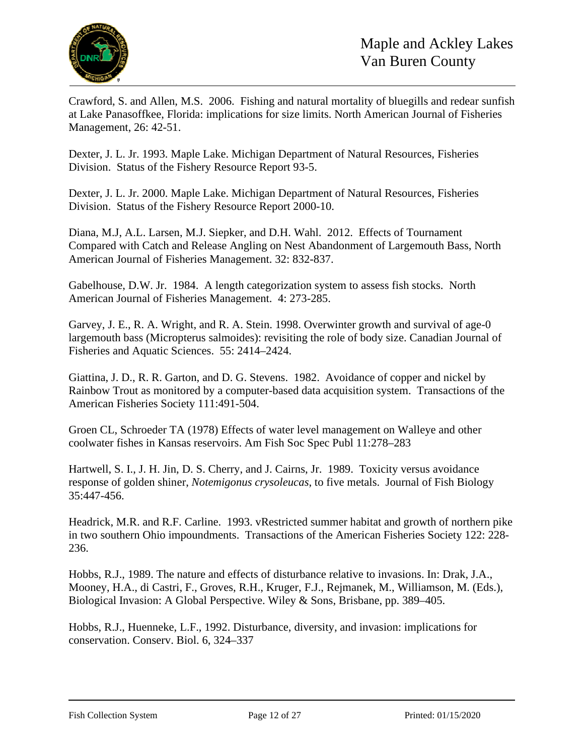

Crawford, S. and Allen, M.S. 2006. Fishing and natural mortality of bluegills and redear sunfish at Lake Panasoffkee, Florida: implications for size limits. North American Journal of Fisheries Management, 26: 42-51.

Dexter, J. L. Jr. 1993. Maple Lake. Michigan Department of Natural Resources, Fisheries Division. Status of the Fishery Resource Report 93-5.

Dexter, J. L. Jr. 2000. Maple Lake. Michigan Department of Natural Resources, Fisheries Division. Status of the Fishery Resource Report 2000-10.

Diana, M.J, A.L. Larsen, M.J. Siepker, and D.H. Wahl. 2012. Effects of Tournament Compared with Catch and Release Angling on Nest Abandonment of Largemouth Bass, North American Journal of Fisheries Management. 32: 832-837.

Gabelhouse, D.W. Jr. 1984. A length categorization system to assess fish stocks. North American Journal of Fisheries Management. 4: 273-285.

Garvey, J. E., R. A. Wright, and R. A. Stein. 1998. Overwinter growth and survival of age-0 largemouth bass (Micropterus salmoides): revisiting the role of body size. Canadian Journal of Fisheries and Aquatic Sciences. 55: 2414–2424.

Giattina, J. D., R. R. Garton, and D. G. Stevens. 1982. Avoidance of copper and nickel by Rainbow Trout as monitored by a computer-based data acquisition system. Transactions of the American Fisheries Society 111:491-504.

Groen CL, Schroeder TA (1978) Effects of water level management on Walleye and other coolwater fishes in Kansas reservoirs. Am Fish Soc Spec Publ 11:278–283

Hartwell, S. I., J. H. Jin, D. S. Cherry, and J. Cairns, Jr. 1989. Toxicity versus avoidance response of golden shiner, *Notemigonus crysoleucas*, to five metals. Journal of Fish Biology 35:447-456.

Headrick, M.R. and R.F. Carline. 1993. vRestricted summer habitat and growth of northern pike in two southern Ohio impoundments. Transactions of the American Fisheries Society 122: 228- 236.

Hobbs, R.J., 1989. The nature and effects of disturbance relative to invasions. In: Drak, J.A., Mooney, H.A., di Castri, F., Groves, R.H., Kruger, F.J., Rejmanek, M., Williamson, M. (Eds.), Biological Invasion: A Global Perspective. Wiley & Sons, Brisbane, pp. 389–405.

Hobbs, R.J., Huenneke, L.F., 1992. Disturbance, diversity, and invasion: implications for conservation. Conserv. Biol. 6, 324–337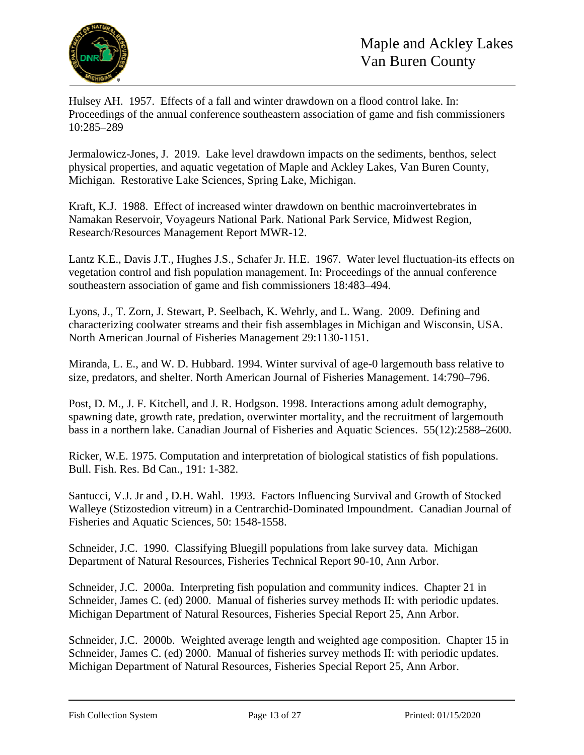

Hulsey AH. 1957. Effects of a fall and winter drawdown on a flood control lake. In: Proceedings of the annual conference southeastern association of game and fish commissioners 10:285–289

Jermalowicz-Jones, J. 2019. Lake level drawdown impacts on the sediments, benthos, select physical properties, and aquatic vegetation of Maple and Ackley Lakes, Van Buren County, Michigan. Restorative Lake Sciences, Spring Lake, Michigan.

Kraft, K.J. 1988. Effect of increased winter drawdown on benthic macroinvertebrates in Namakan Reservoir, Voyageurs National Park. National Park Service, Midwest Region, Research/Resources Management Report MWR-12.

Lantz K.E., Davis J.T., Hughes J.S., Schafer Jr. H.E. 1967. Water level fluctuation-its effects on vegetation control and fish population management. In: Proceedings of the annual conference southeastern association of game and fish commissioners 18:483–494.

Lyons, J., T. Zorn, J. Stewart, P. Seelbach, K. Wehrly, and L. Wang. 2009. Defining and characterizing coolwater streams and their fish assemblages in Michigan and Wisconsin, USA. North American Journal of Fisheries Management 29:1130-1151.

Miranda, L. E., and W. D. Hubbard. 1994. Winter survival of age-0 largemouth bass relative to size, predators, and shelter. North American Journal of Fisheries Management. 14:790–796.

Post, D. M., J. F. Kitchell, and J. R. Hodgson. 1998. Interactions among adult demography, spawning date, growth rate, predation, overwinter mortality, and the recruitment of largemouth bass in a northern lake. Canadian Journal of Fisheries and Aquatic Sciences. 55(12):2588–2600.

Ricker, W.E. 1975. Computation and interpretation of biological statistics of fish populations. Bull. Fish. Res. Bd Can., 191: 1-382.

Santucci, V.J. Jr and , D.H. Wahl. 1993. Factors Influencing Survival and Growth of Stocked Walleye (Stizostedion vitreum) in a Centrarchid-Dominated Impoundment. Canadian Journal of Fisheries and Aquatic Sciences, 50: 1548-1558.

Schneider, J.C. 1990. Classifying Bluegill populations from lake survey data. Michigan Department of Natural Resources, Fisheries Technical Report 90-10, Ann Arbor.

Schneider, J.C. 2000a. Interpreting fish population and community indices. Chapter 21 in Schneider, James C. (ed) 2000. Manual of fisheries survey methods II: with periodic updates. Michigan Department of Natural Resources, Fisheries Special Report 25, Ann Arbor.

Schneider, J.C. 2000b. Weighted average length and weighted age composition. Chapter 15 in Schneider, James C. (ed) 2000. Manual of fisheries survey methods II: with periodic updates. Michigan Department of Natural Resources, Fisheries Special Report 25, Ann Arbor.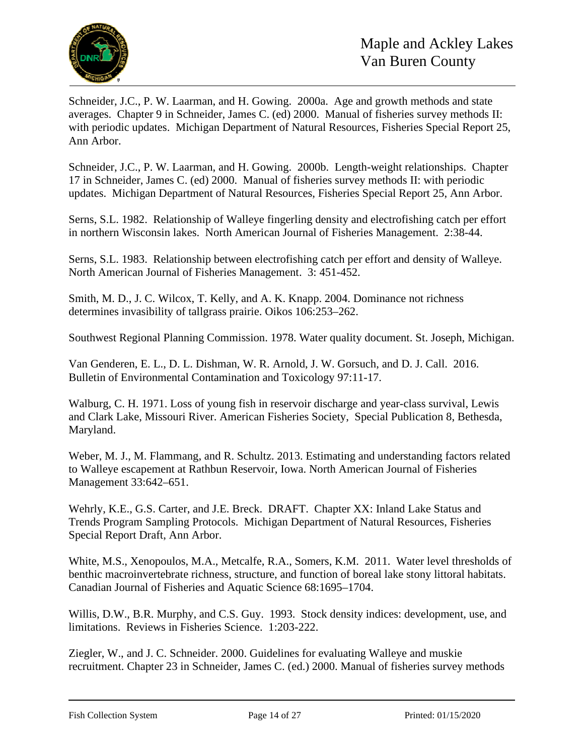

Schneider, J.C., P. W. Laarman, and H. Gowing. 2000a. Age and growth methods and state averages. Chapter 9 in Schneider, James C. (ed) 2000. Manual of fisheries survey methods II: with periodic updates. Michigan Department of Natural Resources, Fisheries Special Report 25, Ann Arbor.

Schneider, J.C., P. W. Laarman, and H. Gowing. 2000b. Length-weight relationships. Chapter 17 in Schneider, James C. (ed) 2000. Manual of fisheries survey methods II: with periodic updates. Michigan Department of Natural Resources, Fisheries Special Report 25, Ann Arbor.

Serns, S.L. 1982. Relationship of Walleye fingerling density and electrofishing catch per effort in northern Wisconsin lakes. North American Journal of Fisheries Management. 2:38-44.

Serns, S.L. 1983. Relationship between electrofishing catch per effort and density of Walleye. North American Journal of Fisheries Management. 3: 451-452.

Smith, M. D., J. C. Wilcox, T. Kelly, and A. K. Knapp. 2004. Dominance not richness determines invasibility of tallgrass prairie. Oikos 106:253–262.

Southwest Regional Planning Commission. 1978. Water quality document. St. Joseph, Michigan.

Van Genderen, E. L., D. L. Dishman, W. R. Arnold, J. W. Gorsuch, and D. J. Call. 2016. Bulletin of Environmental Contamination and Toxicology 97:11-17.

Walburg, C. H. 1971. Loss of young fish in reservoir discharge and year-class survival, Lewis and Clark Lake, Missouri River. American Fisheries Society, Special Publication 8, Bethesda, Maryland.

Weber, M. J., M. Flammang, and R. Schultz. 2013. Estimating and understanding factors related to Walleye escapement at Rathbun Reservoir, Iowa. North American Journal of Fisheries Management 33:642–651.

Wehrly, K.E., G.S. Carter, and J.E. Breck. DRAFT. Chapter XX: Inland Lake Status and Trends Program Sampling Protocols. Michigan Department of Natural Resources, Fisheries Special Report Draft, Ann Arbor.

White, M.S., Xenopoulos, M.A., Metcalfe, R.A., Somers, K.M. 2011. Water level thresholds of benthic macroinvertebrate richness, structure, and function of boreal lake stony littoral habitats. Canadian Journal of Fisheries and Aquatic Science 68:1695–1704.

Willis, D.W., B.R. Murphy, and C.S. Guy. 1993. Stock density indices: development, use, and limitations. Reviews in Fisheries Science. 1:203-222.

Ziegler, W., and J. C. Schneider. 2000. Guidelines for evaluating Walleye and muskie recruitment. Chapter 23 in Schneider, James C. (ed.) 2000. Manual of fisheries survey methods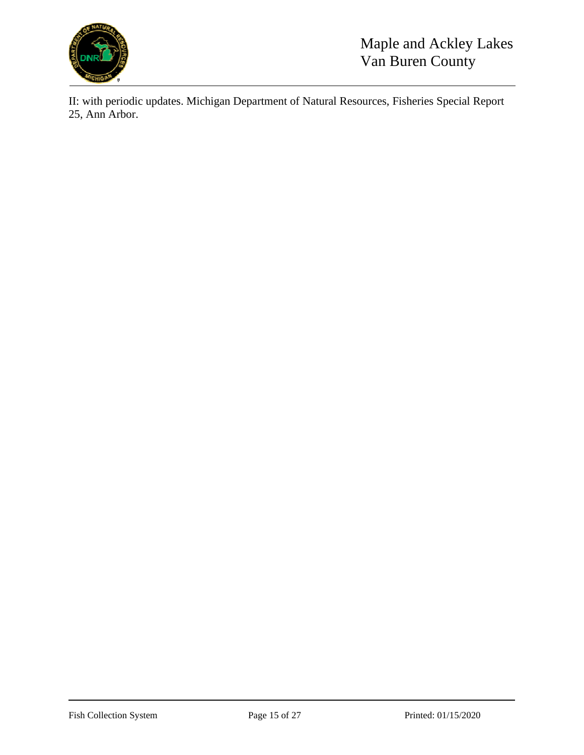

II: with periodic updates. Michigan Department of Natural Resources, Fisheries Special Report 25, Ann Arbor.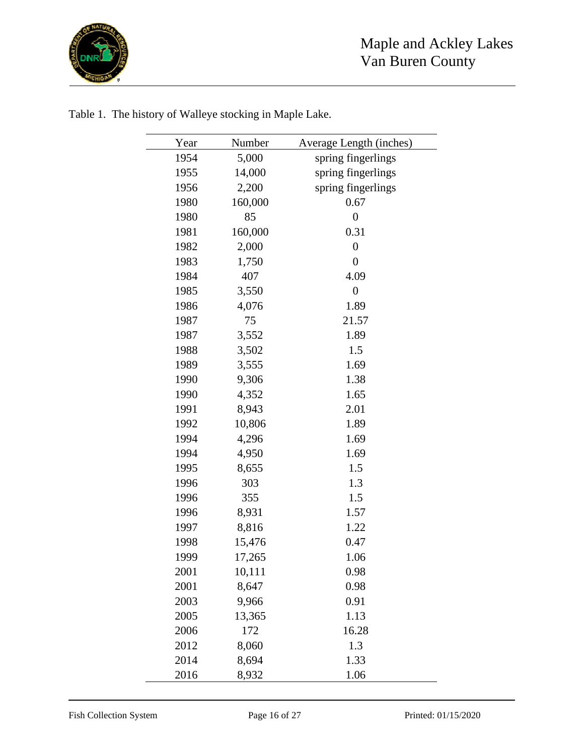

| Year | Number  | Average Length (inches) |
|------|---------|-------------------------|
| 1954 | 5,000   | spring fingerlings      |
| 1955 | 14,000  | spring fingerlings      |
| 1956 | 2,200   | spring fingerlings      |
| 1980 | 160,000 | 0.67                    |
| 1980 | 85      | $\boldsymbol{0}$        |
| 1981 | 160,000 | 0.31                    |
| 1982 | 2,000   | $\boldsymbol{0}$        |
| 1983 | 1,750   | $\boldsymbol{0}$        |
| 1984 | 407     | 4.09                    |
| 1985 | 3,550   | $\boldsymbol{0}$        |
| 1986 | 4,076   | 1.89                    |
| 1987 | 75      | 21.57                   |
| 1987 | 3,552   | 1.89                    |
| 1988 | 3,502   | 1.5                     |
| 1989 | 3,555   | 1.69                    |
| 1990 | 9,306   | 1.38                    |
| 1990 | 4,352   | 1.65                    |
| 1991 | 8,943   | 2.01                    |
| 1992 | 10,806  | 1.89                    |
| 1994 | 4,296   | 1.69                    |
| 1994 | 4,950   | 1.69                    |
| 1995 | 8,655   | 1.5                     |
| 1996 | 303     | 1.3                     |
| 1996 | 355     | 1.5                     |
| 1996 | 8,931   | 1.57                    |
| 1997 | 8,816   | 1.22                    |
| 1998 | 15,476  | 0.47                    |
| 1999 | 17,265  | 1.06                    |
| 2001 | 10,111  | 0.98                    |
| 2001 | 8,647   | 0.98                    |
| 2003 | 9,966   | 0.91                    |
| 2005 | 13,365  | 1.13                    |
| 2006 | 172     | 16.28                   |
| 2012 | 8,060   | 1.3                     |
| 2014 | 8,694   | 1.33                    |
| 2016 | 8,932   | 1.06                    |

Table 1. The history of Walleye stocking in Maple Lake.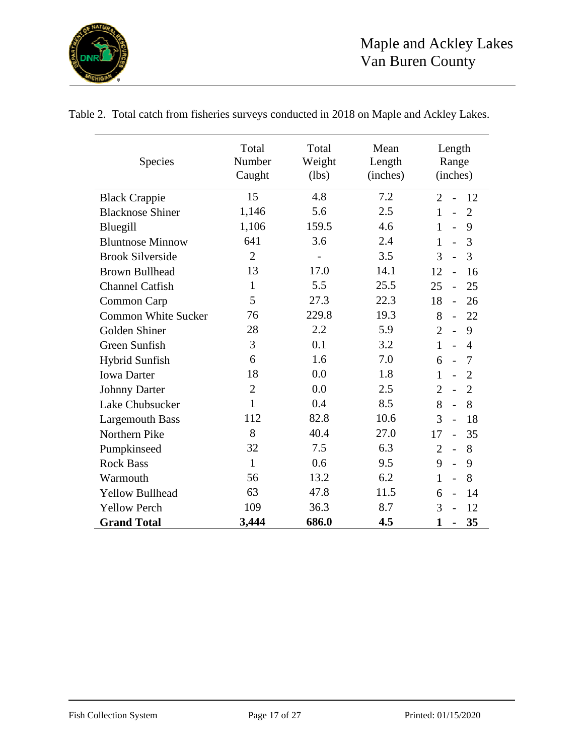

| Species                    | Total<br>Number<br>Caught | Total<br>Weight<br>(lbs) | Mean<br>Length<br>(inches) | Length<br>Range<br>(inches)                        |
|----------------------------|---------------------------|--------------------------|----------------------------|----------------------------------------------------|
| <b>Black Crappie</b>       | 15                        | 4.8                      | 7.2                        | $\overline{2}$<br>12                               |
| <b>Blacknose Shiner</b>    | 1,146                     | 5.6                      | 2.5                        | $\mathbf{1}$<br>$\overline{2}$<br>$\overline{a}$   |
| Bluegill                   | 1,106                     | 159.5                    | 4.6                        | $\mathbf{1}$<br>9<br>$\overline{a}$                |
| <b>Bluntnose Minnow</b>    | 641                       | 3.6                      | 2.4                        | 3<br>$\mathbf{1}$<br>$\overline{a}$                |
| <b>Brook Silverside</b>    | $\overline{2}$            | $\overline{\phantom{m}}$ | 3.5                        | 3<br>3<br>$\overline{a}$                           |
| <b>Brown Bullhead</b>      | 13                        | 17.0                     | 14.1                       | 12<br>16<br>$\overline{a}$                         |
| <b>Channel Catfish</b>     | $\mathbf{1}$              | 5.5                      | 25.5                       | 25<br>25<br>$\overline{a}$                         |
| Common Carp                | 5                         | 27.3                     | 22.3                       | 18<br>26<br>$\overline{a}$                         |
| <b>Common White Sucker</b> | 76                        | 229.8                    | 19.3                       | 8<br>22<br>$\blacksquare$                          |
| Golden Shiner              | 28                        | 2.2                      | 5.9                        | $\overline{2}$<br>9<br>$\overline{a}$              |
| Green Sunfish              | 3                         | 0.1                      | 3.2                        | $\mathbf{1}$<br>$\overline{a}$<br>$\overline{4}$   |
| <b>Hybrid Sunfish</b>      | 6                         | 1.6                      | 7.0                        | 6<br>7<br>$\overline{a}$                           |
| <b>Iowa Darter</b>         | 18                        | 0.0                      | 1.8                        | $\mathbf{1}$<br>$\overline{2}$<br>$\overline{a}$   |
| <b>Johnny Darter</b>       | $\overline{2}$            | 0.0                      | 2.5                        | $\overline{2}$<br>$\overline{2}$<br>$\overline{a}$ |
| Lake Chubsucker            | $\mathbf{1}$              | 0.4                      | 8.5                        | 8<br>8<br>$\overline{a}$                           |
| <b>Largemouth Bass</b>     | 112                       | 82.8                     | 10.6                       | 3<br>18<br>$\overline{a}$                          |
| Northern Pike              | 8                         | 40.4                     | 27.0                       | 35<br>17<br>$\overline{\phantom{a}}$               |
| Pumpkinseed                | 32                        | 7.5                      | 6.3                        | 8<br>$\overline{2}$<br>$\overline{a}$              |
| <b>Rock Bass</b>           | $\mathbf{1}$              | 0.6                      | 9.5                        | 9<br>9<br>$\overline{a}$                           |
| Warmouth                   | 56                        | 13.2                     | 6.2                        | 8<br>$\mathbf{1}$<br>$\overline{a}$                |
| <b>Yellow Bullhead</b>     | 63                        | 47.8                     | 11.5                       | 14<br>6<br>$\overline{a}$                          |
| <b>Yellow Perch</b>        | 109                       | 36.3                     | 8.7                        | 3<br>12                                            |
| <b>Grand Total</b>         | 3,444                     | 686.0                    | 4.5                        | 1<br>35                                            |

Table 2. Total catch from fisheries surveys conducted in 2018 on Maple and Ackley Lakes.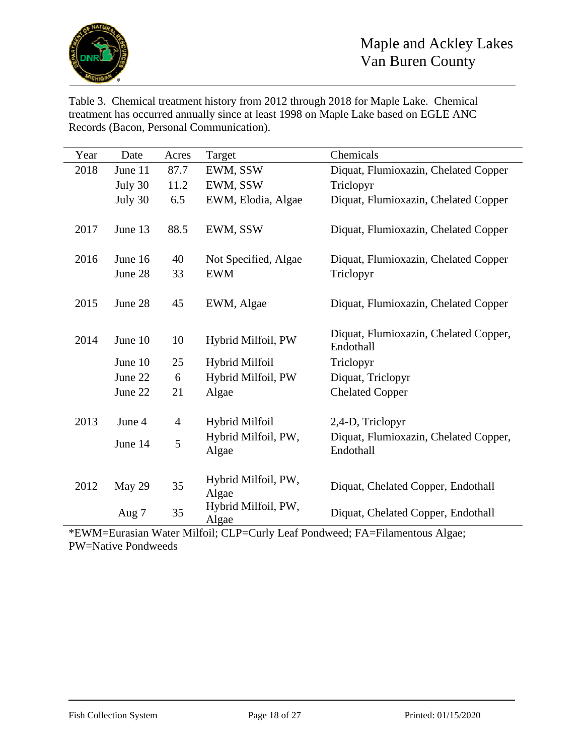

Table 3. Chemical treatment history from 2012 through 2018 for Maple Lake. Chemical treatment has occurred annually since at least 1998 on Maple Lake based on EGLE ANC Records (Bacon, Personal Communication).

| Year | Date    | Acres          | Target                       | Chemicals                                          |
|------|---------|----------------|------------------------------|----------------------------------------------------|
| 2018 | June 11 | 87.7           | EWM, SSW                     | Diquat, Flumioxazin, Chelated Copper               |
|      | July 30 | 11.2           | EWM, SSW                     | Triclopyr                                          |
|      | July 30 | 6.5            | EWM, Elodia, Algae           | Diquat, Flumioxazin, Chelated Copper               |
|      |         |                |                              |                                                    |
| 2017 | June 13 | 88.5           | EWM, SSW                     | Diquat, Flumioxazin, Chelated Copper               |
|      |         |                |                              |                                                    |
| 2016 | June 16 | 40             | Not Specified, Algae         | Diquat, Flumioxazin, Chelated Copper               |
|      | June 28 | 33             | <b>EWM</b>                   | Triclopyr                                          |
|      |         |                |                              |                                                    |
| 2015 | June 28 | 45             | EWM, Algae                   | Diquat, Flumioxazin, Chelated Copper               |
|      |         |                |                              |                                                    |
| 2014 | June 10 | 10             | Hybrid Milfoil, PW           | Diquat, Flumioxazin, Chelated Copper,<br>Endothall |
|      |         |                |                              |                                                    |
|      | June 10 | 25             | Hybrid Milfoil               | Triclopyr                                          |
|      | June 22 | 6              | Hybrid Milfoil, PW           | Diquat, Triclopyr                                  |
|      | June 22 | 21             | Algae                        | <b>Chelated Copper</b>                             |
|      |         |                |                              |                                                    |
| 2013 | June 4  | $\overline{4}$ | Hybrid Milfoil               | 2,4-D, Triclopyr                                   |
|      | June 14 | 5              | Hybrid Milfoil, PW,          | Diquat, Flumioxazin, Chelated Copper,              |
|      |         |                | Algae                        | Endothall                                          |
|      |         |                |                              |                                                    |
| 2012 | May 29  | 35             | Hybrid Milfoil, PW,<br>Algae | Diquat, Chelated Copper, Endothall                 |
|      |         |                | Hybrid Milfoil, PW,          |                                                    |
|      | Aug 7   | 35             | Algae                        | Diquat, Chelated Copper, Endothall                 |

\*EWM=Eurasian Water Milfoil; CLP=Curly Leaf Pondweed; FA=Filamentous Algae; PW=Native Pondweeds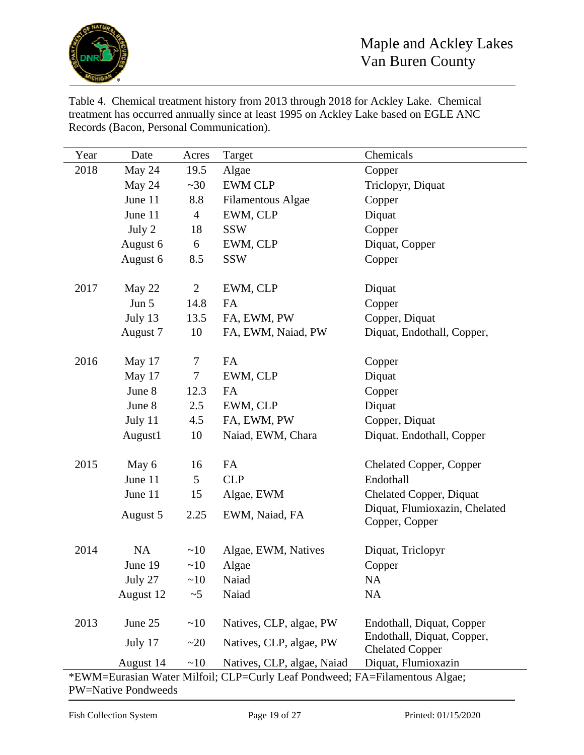

Table 4. Chemical treatment history from 2013 through 2018 for Ackley Lake. Chemical treatment has occurred annually since at least 1995 on Ackley Lake based on EGLE ANC Records (Bacon, Personal Communication).

| Year | Date      | Acres          | Target                                                                      | Chemicals                                     |
|------|-----------|----------------|-----------------------------------------------------------------------------|-----------------------------------------------|
| 2018 | May 24    | 19.5           | Algae                                                                       | Copper                                        |
|      | May 24    | ~20            | <b>EWM CLP</b>                                                              | Triclopyr, Diquat                             |
|      | June 11   | 8.8            | <b>Filamentous Algae</b>                                                    | Copper                                        |
|      | June 11   | $\overline{4}$ | EWM, CLP                                                                    | Diquat                                        |
|      | July 2    | 18             | <b>SSW</b>                                                                  | Copper                                        |
|      | August 6  | 6              | EWM, CLP                                                                    | Diquat, Copper                                |
|      | August 6  | 8.5            | <b>SSW</b>                                                                  | Copper                                        |
|      |           |                |                                                                             |                                               |
| 2017 | May 22    | $\overline{2}$ | EWM, CLP                                                                    | Diquat                                        |
|      | Jun 5     | 14.8           | FA                                                                          | Copper                                        |
|      | July 13   | 13.5           | FA, EWM, PW                                                                 | Copper, Diquat                                |
|      | August 7  | 10             | FA, EWM, Naiad, PW                                                          | Diquat, Endothall, Copper,                    |
|      |           |                |                                                                             |                                               |
| 2016 | May 17    | 7              | FA                                                                          | Copper                                        |
|      | May 17    | $\tau$         | EWM, CLP                                                                    | Diquat                                        |
|      | June 8    | 12.3           | <b>FA</b>                                                                   | Copper                                        |
|      | June 8    | 2.5            | EWM, CLP                                                                    | Diquat                                        |
|      | July 11   | 4.5            | FA, EWM, PW                                                                 | Copper, Diquat                                |
|      | August1   | 10             | Naiad, EWM, Chara                                                           | Diquat. Endothall, Copper                     |
|      |           |                |                                                                             |                                               |
| 2015 | May 6     | 16             | FA                                                                          | <b>Chelated Copper, Copper</b>                |
|      | June 11   | 5              | <b>CLP</b>                                                                  | Endothall                                     |
|      | June 11   | 15             | Algae, EWM                                                                  | <b>Chelated Copper, Diquat</b>                |
|      | August 5  | 2.25           | EWM, Naiad, FA                                                              | Diquat, Flumioxazin, Chelated                 |
|      |           |                |                                                                             | Copper, Copper                                |
|      |           |                |                                                                             |                                               |
| 2014 | <b>NA</b> | ~10            | Algae, EWM, Natives                                                         | Diquat, Triclopyr                             |
|      | June 19   | ~10            | Algae                                                                       | Copper                                        |
|      | July 27   | ~10            | Naiad                                                                       | <b>NA</b>                                     |
|      | August 12 | $\sim$ 5       | Naiad                                                                       | NA                                            |
|      |           |                |                                                                             |                                               |
| 2013 | June 25   | ~10            | Natives, CLP, algae, PW                                                     | Endothall, Diquat, Copper                     |
|      | July 17   | ~20            | Natives, CLP, algae, PW                                                     | Endothall, Diquat, Copper,                    |
|      | August 14 | ~10            | Natives, CLP, algae, Naiad                                                  | <b>Chelated Copper</b><br>Diquat, Flumioxazin |
|      |           |                | *EWM=Eurasian Water Milfoil: CLP=Curly Leaf Pondweed: FA=Filamentous Algae: |                                               |

\*EWM=Eurasian Water Milfoil; CLP=Curly Leaf Pondweed; FA=Filamentous Algae; PW=Native Pondweeds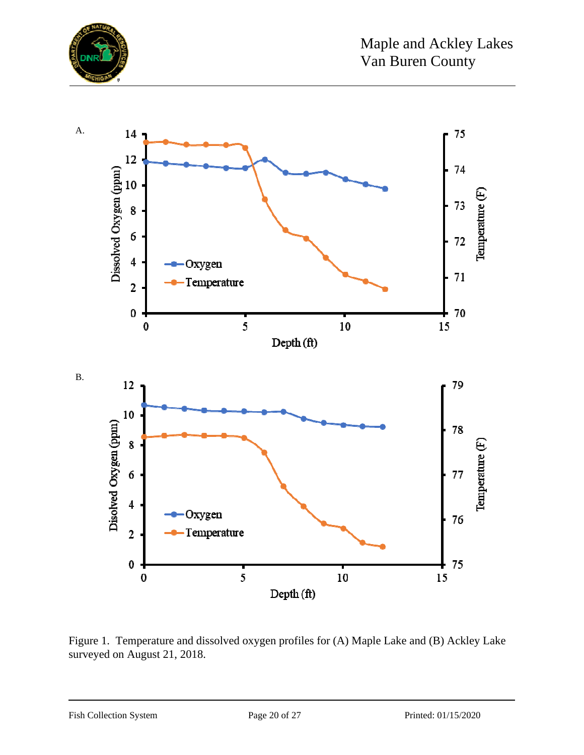



Figure 1. Temperature and dissolved oxygen profiles for (A) Maple Lake and (B) Ackley Lake surveyed on August 21, 2018.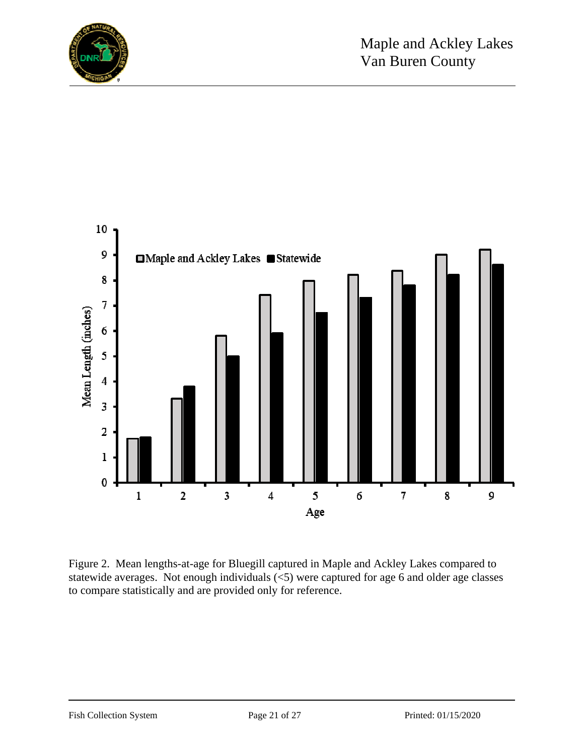



Figure 2. Mean lengths-at-age for Bluegill captured in Maple and Ackley Lakes compared to statewide averages. Not enough individuals  $\langle$  = 5) were captured for age 6 and older age classes to compare statistically and are provided only for reference.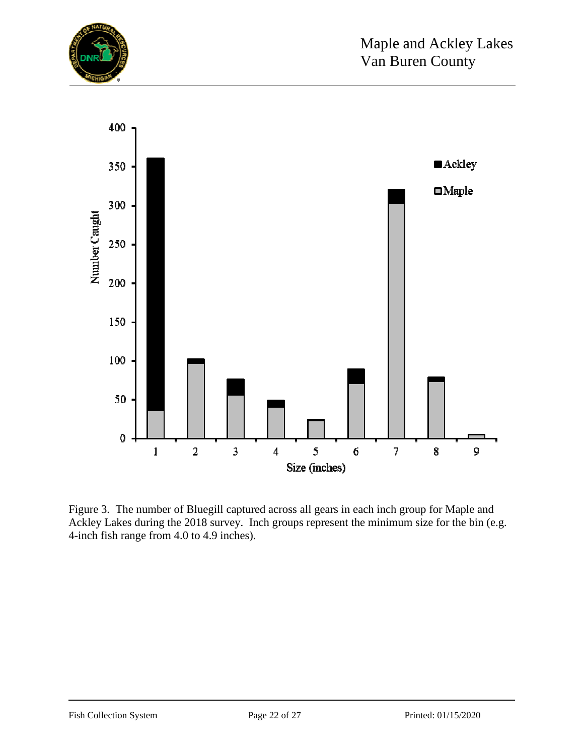



Figure 3. The number of Bluegill captured across all gears in each inch group for Maple and Ackley Lakes during the 2018 survey. Inch groups represent the minimum size for the bin (e.g. 4-inch fish range from 4.0 to 4.9 inches).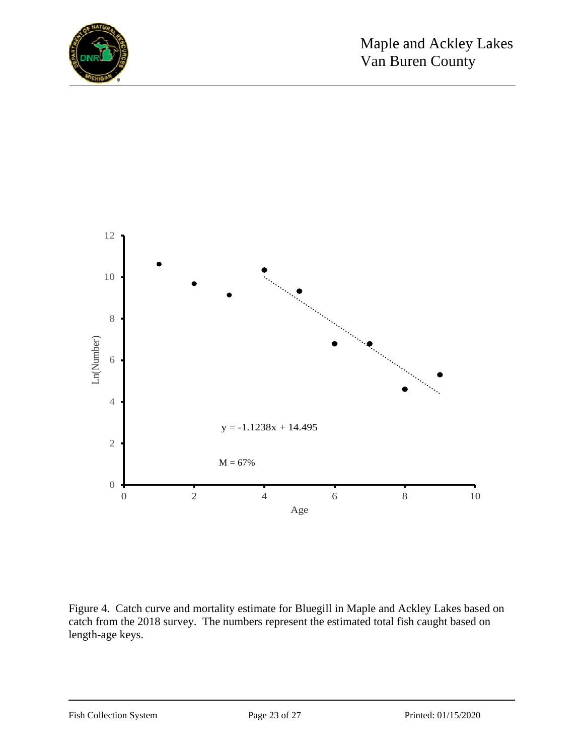



Figure 4. Catch curve and mortality estimate for Bluegill in Maple and Ackley Lakes based on catch from the 2018 survey. The numbers represent the estimated total fish caught based on length-age keys.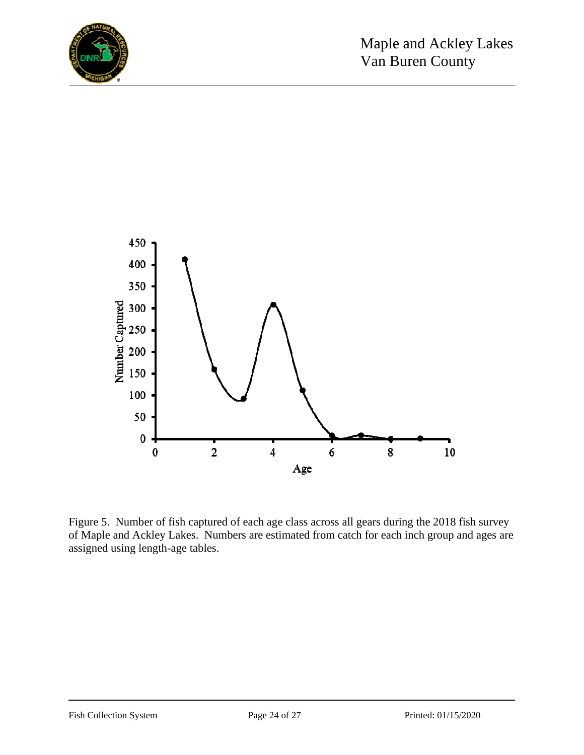



Figure 5. Number of fish captured of each age class across all gears during the 2018 fish survey of Maple and Ackley Lakes. Numbers are estimated from catch for each inch group and ages are assigned using length-age tables.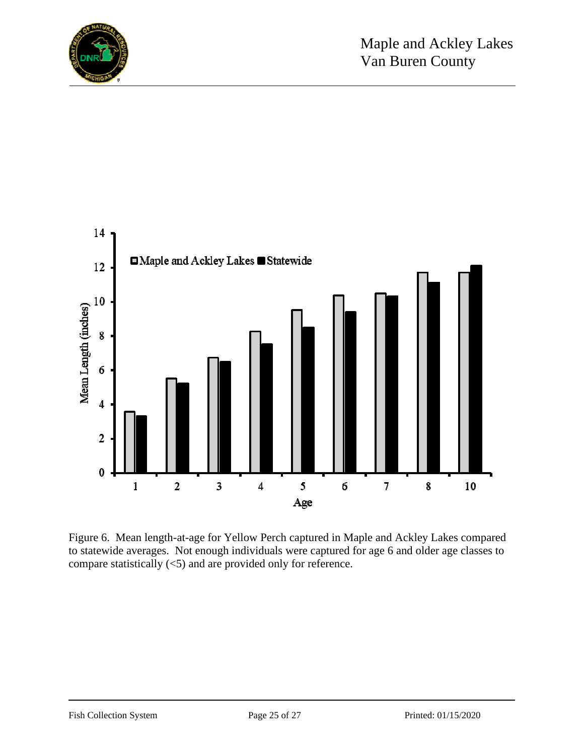



Figure 6. Mean length-at-age for Yellow Perch captured in Maple and Ackley Lakes compared to statewide averages. Not enough individuals were captured for age 6 and older age classes to compare statistically (<5) and are provided only for reference.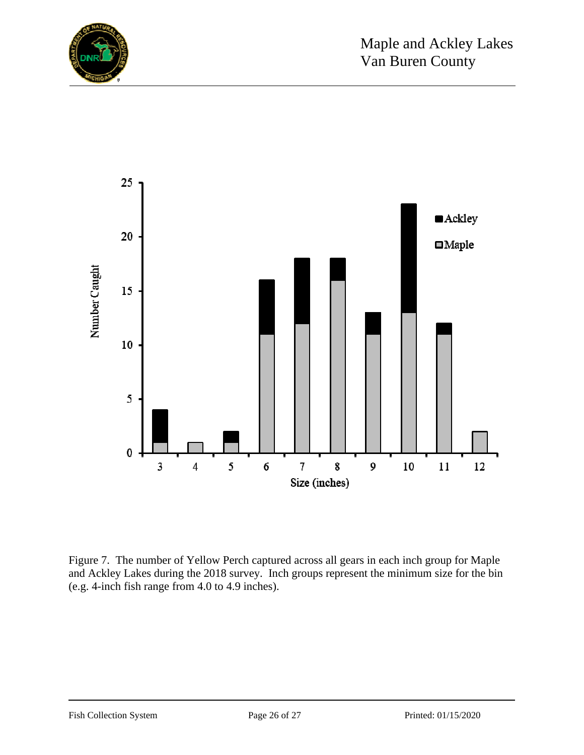



Figure 7. The number of Yellow Perch captured across all gears in each inch group for Maple and Ackley Lakes during the 2018 survey. Inch groups represent the minimum size for the bin (e.g. 4-inch fish range from 4.0 to 4.9 inches).